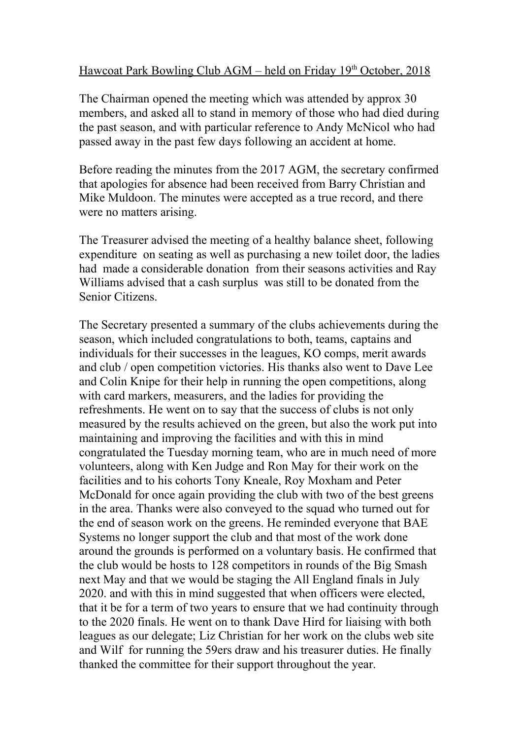## Hawcoat Park Bowling Club AGM – held on Friday 19<sup>th</sup> October, 2018

The Chairman opened the meeting which was attended by approx 30 members, and asked all to stand in memory of those who had died during the past season, and with particular reference to Andy McNicol who had passed away in the past few days following an accident at home.

Before reading the minutes from the 2017 AGM, the secretary confirmed that apologies for absence had been received from Barry Christian and Mike Muldoon. The minutes were accepted as a true record, and there were no matters arising.

The Treasurer advised the meeting of a healthy balance sheet, following expenditure on seating as well as purchasing a new toilet door, the ladies had made a considerable donation from their seasons activities and Ray Williams advised that a cash surplus was still to be donated from the Senior Citizens.

The Secretary presented a summary of the clubs achievements during the season, which included congratulations to both, teams, captains and individuals for their successes in the leagues, KO comps, merit awards and club / open competition victories. His thanks also went to Dave Lee and Colin Knipe for their help in running the open competitions, along with card markers, measurers, and the ladies for providing the refreshments. He went on to say that the success of clubs is not only measured by the results achieved on the green, but also the work put into maintaining and improving the facilities and with this in mind congratulated the Tuesday morning team, who are in much need of more volunteers, along with Ken Judge and Ron May for their work on the facilities and to his cohorts Tony Kneale, Roy Moxham and Peter McDonald for once again providing the club with two of the best greens in the area. Thanks were also conveyed to the squad who turned out for the end of season work on the greens. He reminded everyone that BAE Systems no longer support the club and that most of the work done around the grounds is performed on a voluntary basis. He confirmed that the club would be hosts to 128 competitors in rounds of the Big Smash next May and that we would be staging the All England finals in July 2020. and with this in mind suggested that when officers were elected, that it be for a term of two years to ensure that we had continuity through to the 2020 finals. He went on to thank Dave Hird for liaising with both leagues as our delegate; Liz Christian for her work on the clubs web site and Wilf for running the 59ers draw and his treasurer duties. He finally thanked the committee for their support throughout the year.